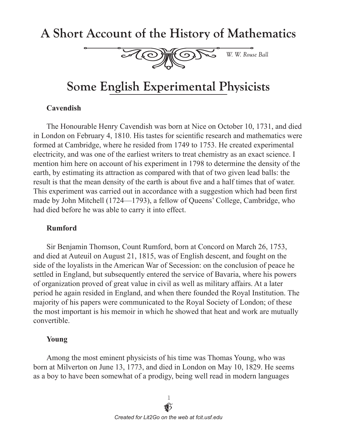## A Short Account of the History of Mathematics



# **Some English Experimental Physicists**

#### **Cavendish**

The Honourable Henry Cavendish was born at Nice on October 10, 1731, and died in London on February 4, 1810. His tastes for scientific research and mathematics were formed at Cambridge, where he resided from 1749 to 1753. He created experimental electricity, and was one of the earliest writers to treat chemistry as an exact science. I mention him here on account of his experiment in 1798 to determine the density of the earth, by estimating its attraction as compared with that of two given lead balls: the result is that the mean density of the earth is about five and a half times that of water. This experiment was carried out in accordance with a suggestion which had been first made by John Mitchell (1724—1793), a fellow of Queens' College, Cambridge, who had died before he was able to carry it into effect.

#### **Rumford**

Sir Benjamin Thomson, Count Rumford, born at Concord on March 26, 1753, and died at Auteuil on August 21, 1815, was of English descent, and fought on the side of the loyalists in the American War of Secession: on the conclusion of peace he settled in England, but subsequently entered the service of Bavaria, where his powers of organization proved of great value in civil as well as military affairs. At a later period he again resided in England, and when there founded the Royal Institution. The majority of his papers were communicated to the Royal Society of London; of these the most important is his memoir in which he showed that heat and work are mutually convertible.

#### **Young**

Among the most eminent physicists of his time was Thomas Young, who was born at Milverton on June 13, 1773, and died in London on May 10, 1829. He seems as a boy to have been somewhat of a prodigy, being well read in modern languages